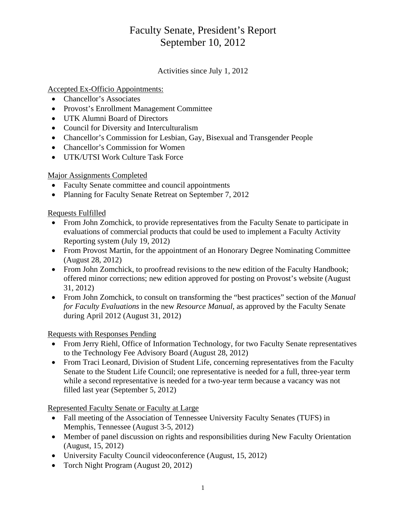# Faculty Senate, President's Report September 10, 2012

Activities since July 1, 2012

## Accepted Ex-Officio Appointments:

- Chancellor's Associates
- Provost's Enrollment Management Committee
- UTK Alumni Board of Directors
- Council for Diversity and Interculturalism
- Chancellor's Commission for Lesbian, Gay, Bisexual and Transgender People
- Chancellor's Commission for Women
- UTK/UTSI Work Culture Task Force

#### Major Assignments Completed

- Faculty Senate committee and council appointments
- Planning for Faculty Senate Retreat on September 7, 2012

### Requests Fulfilled

- From John Zomchick, to provide representatives from the Faculty Senate to participate in evaluations of commercial products that could be used to implement a Faculty Activity Reporting system (July 19, 2012)
- From Provost Martin, for the appointment of an Honorary Degree Nominating Committee (August 28, 2012)
- From John Zomchick, to proofread revisions to the new edition of the Faculty Handbook; offered minor corrections; new edition approved for posting on Provost's website (August 31, 2012)
- From John Zomchick, to consult on transforming the "best practices" section of the *Manual for Faculty Evaluations* in the new *Resource Manual*, as approved by the Faculty Senate during April 2012 (August 31, 2012)

Requests with Responses Pending

- From Jerry Riehl, Office of Information Technology, for two Faculty Senate representatives to the Technology Fee Advisory Board (August 28, 2012)
- From Traci Leonard, Division of Student Life, concerning representatives from the Faculty Senate to the Student Life Council; one representative is needed for a full, three-year term while a second representative is needed for a two-year term because a vacancy was not filled last year (September 5, 2012)

Represented Faculty Senate or Faculty at Large

- Fall meeting of the Association of Tennessee University Faculty Senates (TUFS) in Memphis, Tennessee (August 3-5, 2012)
- Member of panel discussion on rights and responsibilities during New Faculty Orientation (August, 15, 2012)
- University Faculty Council videoconference (August, 15, 2012)
- Torch Night Program (August 20, 2012)